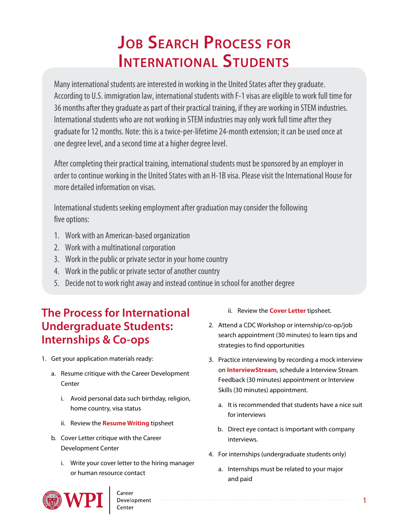# **JOB SEARCH PROCESS FOR INTERNATIONAL STUDENTS**

Many international students are interested in working in the United States after they graduate. According to U.S. immigration law, international students with F-1 visas are eligible to work full time for 36 months after they graduate as part of their practical training, if they are working in STEM industries. International students who are not working in STEM industries may only work full time after they graduate for 12 months. Note: this is a twice-per-lifetime 24-month extension; it can be used once at one degree level, and a second time at a higher degree level.

After completing their practical training, international students must be sponsored by an employer in order to continue working in the United States with an H-1B visa. Please visit the International House for more detailed information on visas.

International students seeking employment after graduation may consider the following five options:

- 1. Work with an American-based organization
- 2. Work with a multinational corporation
- 3. Work in the public or private sector in your home country
- 4. Work in the public or private sector of another country
- 5. Decide not to work right away and instead continue in school for another degree

### **The Process for International Undergraduate Students: Internships & Co-ops**

- 1. Get your application materials ready:
	- a. Resume critique with the Career Development Center
		- i. Avoid personal data such birthday, religion, home country, visa status
		- ii. Review the **[Resume Writing](https://www.wpi.edu/sites/default/files/inline-image/Offices/Career-Development-Center/WPI_Resume_Tipsheet_Template.pdf)** tipsheet
	- b. Cover Letter critique with the Career Development Center
		- i. Write your cover letter to the hiring manager or human resource contact

Development<br>Center

**OWP** 

ii. Review the **[Cover Letter](http://www.wpi.edu/Images/CMS/CDC/Cover-letters.pdf)** tipsheet.

- 2. Attend a CDC Workshop or internship/co-op/job search appointment (30 minutes) to learn tips and strategies to find opportunities
- 3. Practice interviewing by recording a mock interview on **[InterviewStream](https://wpi.joinhandshake.com/articles/9274)**, schedule a Interview Stream Feedback (30 minutes) appointment or Interview Skills (30 minutes) appointment.
	- a. It is recommended that students have a nice suit for interviews
	- b. Direct eye contact is important with company interviews.
- 4. For internships (undergraduate students only)
	- a. Internships must be related to your major and paid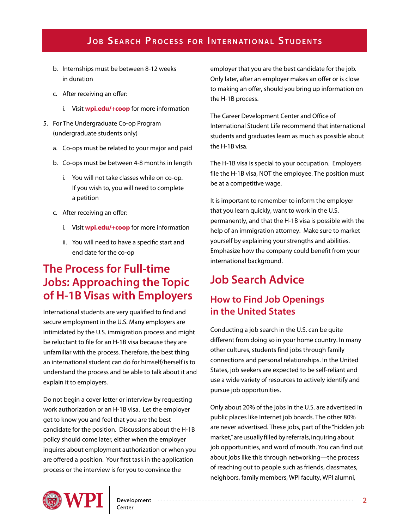#### **JOB SEARCH PROCESS FOR INTERNATIONAL STUDENTS**

- b. Internships must be between 8-12 weeks in duration
- c. After receiving an offer:
	- i. Visit **[wpi.edu/+coop](http://www.wpi.edu/offices/cdc/coop.html)** for more information
- 5. For The Undergraduate Co-op Program (undergraduate students only)
	- a. Co-ops must be related to your major and paid
	- b. Co-ops must be between 4-8 months in length
		- i. You will not take classes while on co-op. If you wish to, you will need to complete a petition
	- c. After receiving an offer:
		- i. Visit **[wpi.edu/+coop](http://www.wpi.edu/offices/cdc/coop.html)** for more information
		- ii. You will need to have a specific start and end date for the co-op

### **The Process for Full-time Jobs: Approaching the Topic of H-1B Visas with Employers**

International students are very qualified to find and secure employment in the U.S. Many employers are intimidated by the U.S. immigration process and might be reluctant to file for an H-1B visa because they are unfamiliar with the process. Therefore, the best thing an international student can do for himself/herself is to understand the process and be able to talk about it and explain it to employers.

Do not begin a cover letter or interview by requesting work authorization or an H-1B visa. Let the employer get to know you and feel that you are the best candidate for the position. Discussions about the H-1B policy should come later, either when the employer inquires about employment authorization or when you are offered a position. Your first task in the application process or the interview is for you to convince the

employer that you are the best candidate for the job. Only later, after an employer makes an offer or is close to making an offer, should you bring up information on the H-1B process.

The Career Development Center and Office of International Student Life recommend that international students and graduates learn as much as possible about the H-1B visa.

The H-1B visa is special to your occupation. Employers file the H-1B visa, NOT the employee. The position must be at a competitive wage.

It is important to remember to inform the employer that you learn quickly, want to work in the U.S. permanently, and that the H-1B visa is possible with the help of an immigration attorney. Make sure to market yourself by explaining your strengths and abilities. Emphasize how the company could benefit from your international background.

## **Job Search Advice**

#### **How to Find Job Openings in the United States**

Conducting a job search in the U.S. can be quite different from doing so in your home country. In many other cultures, students find jobs through family connections and personal relationships. In the United States, job seekers are expected to be self-reliant and use a wide variety of resources to actively identify and pursue job opportunities.

Only about 20% of the jobs in the U.S. are advertised in public places like Internet job boards. The other 80% are never advertised. These jobs, part of the "hidden job market," are usually filled by referrals, inquiring about job opportunities, and word of mouth. You can find out about jobs like this through networking—the process of reaching out to people such as friends, classmates, neighbors, family members, WPI faculty, WPI alumni,

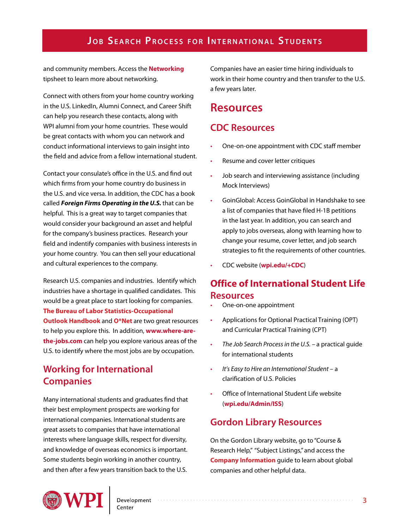#### **JOB SEARCH PROCESS FOR INTERNATIONAL STUDENTS**

and community members. Access the **[Networking](http://www.wpi.edu/Images/CMS/CDC/Networking.pdf)** tipsheet to learn more about networking.

Connect with others from your home country working in the U.S. LinkedIn, Alumni Connect, and Career Shift can help you research these contacts, along with WPI alumni from your home countries. These would be great contacts with whom you can network and conduct informational interviews to gain insight into the field and advice from a fellow international student.

Contact your consulate's office in the U.S. and find out which firms from your home country do business in the U.S. and vice versa. In addition, the CDC has a book called **Foreign Firms Operating in the U.S.** that can be helpful. This is a great way to target companies that would consider your background an asset and helpful for the company's business practices. Research your field and indentify companies with business interests in your home country. You can then sell your educational and cultural experiences to the company.

Research U.S. companies and industries. Identify which industries have a shortage in qualified candidates. This would be a great place to start looking for companies. **[The Bureau of Labor Statistics-Occupational](www.bls.gov/ooh)  [Outlook Handbook](www.bls.gov/ooh)** and **[O\\*Net](www.onetonline.org)** are two great resources to help you explore this. In addition, **[www.where-are](www.where-are-the-jobs.com)[the-jobs.com](www.where-are-the-jobs.com)** can help you explore various areas of the U.S. to identify where the most jobs are by occupation.

#### **Working for International Companies**

Many international students and graduates find that their best employment prospects are working for international companies. International students are great assets to companies that have international interests where language skills, respect for diversity, and knowledge of overseas economics is important. Some students begin working in another country, and then after a few years transition back to the U.S.

Companies have an easier time hiring individuals to work in their home country and then transfer to the U.S. a few years later.

#### **Resources**

#### **CDC Resources**

- One-on-one appointment with CDC staff member
- Resume and cover letter critiques
- Job search and interviewing assistance (including Mock Interviews)
- GoinGlobal: Access GoinGlobal in Handshake to see a list of companies that have filed H-1B petitions in the last year. In addition, you can search and apply to jobs overseas, along with learning how to change your resume, cover letter, and job search strategies to fit the requirements of other countries.
- CDC website (**[wpi.edu/](http://wpi.edu/Admin/CDC)+CDC**)

#### **Office of International Student Life Resources**

- One-on-one appointment
- Applications for Optional Practical Training (OPT) and Curricular Practical Training (CPT)
- *The Job Search Process in the U.S.* a practical guide for international students
- *It's Easy to Hire an International Student –* a clarification of U.S. Policies
- Office of International Student Life website (**[wpi.edu/Admin/ISS](http://wpi.edu/Admin/ISS)**)

#### **Gordon Library Resources**

On the Gordon Library website, go to "Course & Research Help," "Subject Listings," and access the **[Company Information](http://libguides.wpi.edu/cat.php?cid=23346)** guide to learn about global companies and other helpful data.

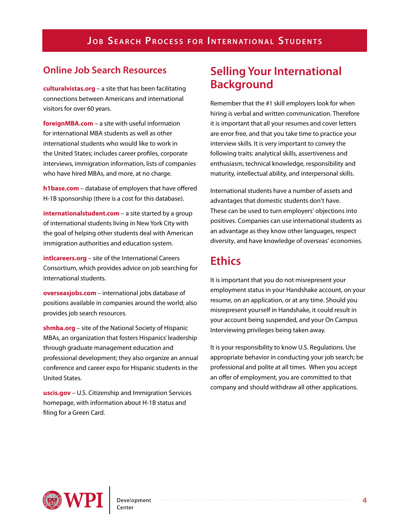#### **Online Job Search Resources**

**[culturalvistas.org](http://culturalvistas.org/)** – a site that has been facilitating connections between Americans and international visitors for over 60 years.

**[foreignMBA.com](http://foreignMBA.com)** – a site with useful information for international MBA students as well as other international students who would like to work in the United States; includes career profiles, corporate interviews, immigration information, lists of companies who have hired MBAs, and more, at no charge.

**[h1base.com](http://h1base.com)** – database of employers that have offered H-1B sponsorship (there is a cost for this database).

**[internationalstudent.com](http://internationalstudent.com)** – a site started by a group of international students living in New York City with the goal of helping other students deal with American immigration authorities and education system.

**[intlcareers.org](http://intlcareers.org)** – site of the International Careers Consortium, which provides advice on job searching for international students.

**[overseasjobs.com](http://www.overseasjobs.com)** – international jobs database of positions available in companies around the world; also provides job search resources.

**[shmba.org](http://shmba.org)** – site of the National Society of Hispanic MBAs, an organization that fosters Hispanics' leadership through graduate management education and professional development; they also organize an annual conference and career expo for Hispanic students in the United States.

**[uscis.gov](http://uscis.gov)** – U.S. Citizenship and Immigration Services homepage, with information about H-1B status and filing for a Green Card.

### **Selling Your International Background**

Remember that the #1 skill employers look for when hiring is verbal and written communication. Therefore it is important that all your resumes and cover letters are error free, and that you take time to practice your interview skills. It is very important to convey the following traits: analytical skills, assertiveness and enthusiasm, technical knowledge, responsibility and maturity, intellectual ability, and interpersonal skills.

International students have a number of assets and advantages that domestic students don't have. These can be used to turn employers' objections into positives. Companies can use international students as an advantage as they know other languages, respect diversity, and have knowledge of overseas' economies.

### **Ethics**

It is important that you do not misrepresent your employment status in your Handshake account, on your resume, on an application, or at any time. Should you misrepresent yourself in Handshake, it could result in your account being suspended, and your On Campus Interviewing privileges being taken away.

It is your responsibility to know U.S. Regulations. Use appropriate behavior in conducting your job search; be professional and polite at all times. When you accept an offer of employment, you are committed to that company and should withdraw all other applications.